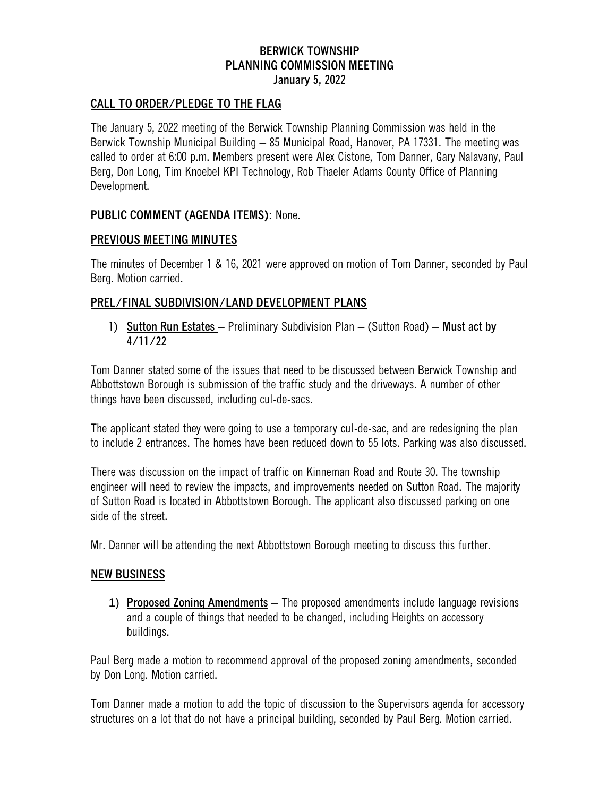# **BERWICK TOWNSHIP PLANNING COMMISSION MEETING January 5, 2022**

### **CALL TO ORDER/PLEDGE TO THE FLAG**

The January 5, 2022 meeting of the Berwick Township Planning Commission was held in the Berwick Township Municipal Building – 85 Municipal Road, Hanover, PA 17331. The meeting was called to order at 6:00 p.m. Members present were Alex Cistone, Tom Danner, Gary Nalavany, Paul Berg, Don Long, Tim Knoebel KPI Technology, Rob Thaeler Adams County Office of Planning Development.

#### **PUBLIC COMMENT (AGENDA ITEMS):** None.

#### **PREVIOUS MEETING MINUTES**

The minutes of December 1 & 16, 2021 were approved on motion of Tom Danner, seconded by Paul Berg. Motion carried.

## **PREL/FINAL SUBDIVISION/LAND DEVELOPMENT PLANS**

1) **Sutton Run Estates** – Preliminary Subdivision Plan – (Sutton Road) – **Must act by 4/11/22**

Tom Danner stated some of the issues that need to be discussed between Berwick Township and Abbottstown Borough is submission of the traffic study and the driveways. A number of other things have been discussed, including cul-de-sacs.

The applicant stated they were going to use a temporary cul-de-sac, and are redesigning the plan to include 2 entrances. The homes have been reduced down to 55 lots. Parking was also discussed.

There was discussion on the impact of traffic on Kinneman Road and Route 30. The township engineer will need to review the impacts, and improvements needed on Sutton Road. The majority of Sutton Road is located in Abbottstown Borough. The applicant also discussed parking on one side of the street.

Mr. Danner will be attending the next Abbottstown Borough meeting to discuss this further.

#### **NEW BUSINESS**

1) **Proposed Zoning Amendments** – The proposed amendments include language revisions and a couple of things that needed to be changed, including Heights on accessory buildings.

Paul Berg made a motion to recommend approval of the proposed zoning amendments, seconded by Don Long. Motion carried.

Tom Danner made a motion to add the topic of discussion to the Supervisors agenda for accessory structures on a lot that do not have a principal building, seconded by Paul Berg. Motion carried.